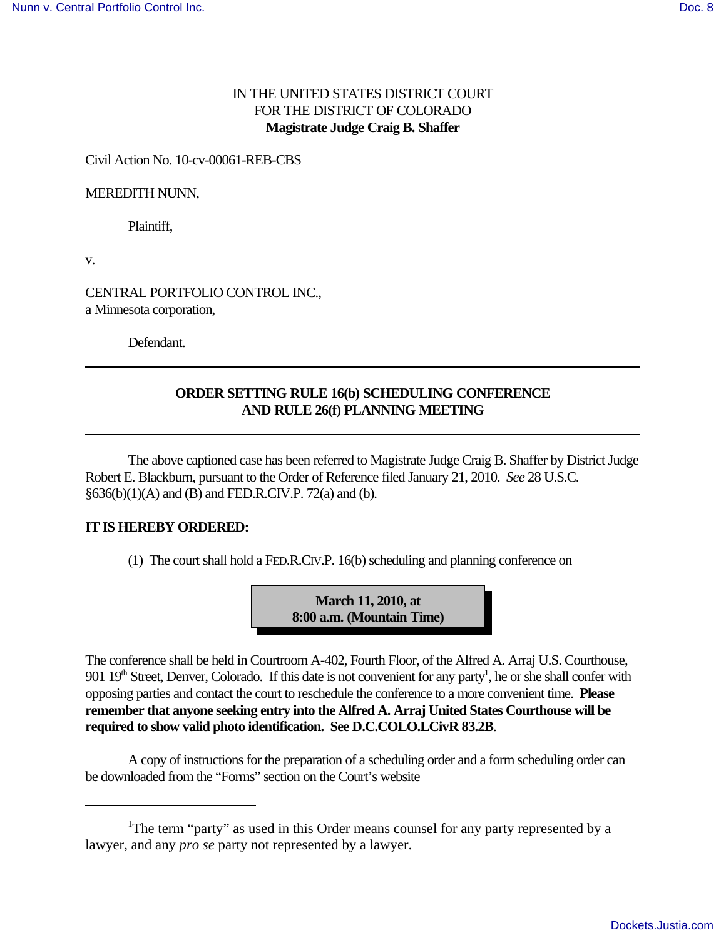### IN THE UNITED STATES DISTRICT COURT FOR THE DISTRICT OF COLORADO **Magistrate Judge Craig B. Shaffer**

#### Civil Action No. 10-cv-00061-REB-CBS

#### MEREDITH NUNN,

Plaintiff,

v.

CENTRAL PORTFOLIO CONTROL INC., a Minnesota corporation,

Defendant.

## **ORDER SETTING RULE 16(b) SCHEDULING CONFERENCE AND RULE 26(f) PLANNING MEETING**

The above captioned case has been referred to Magistrate Judge Craig B. Shaffer by District Judge Robert E. Blackburn, pursuant to the Order of Reference filed January 21, 2010. *See* 28 U.S.C. §636(b)(1)(A) and (B) and FED.R.CIV.P. 72(a) and (b).

### **IT IS HEREBY ORDERED:**

 $(1)$  The court shall hold a FED.R.CIV.P. 16(b) scheduling and planning conference on

**March 11, 2010, at 8:00 a.m. (Mountain Time)**

The conference shall be held in Courtroom A-402, Fourth Floor, of the Alfred A. Arraj U.S. Courthouse, 901 19<sup>th</sup> Street, Denver, Colorado. If this date is not convenient for any party<sup>1</sup>, he or she shall confer with opposing parties and contact the court to reschedule the conference to a more convenient time. **Please remember that anyone seeking entry into the Alfred A. Arraj United States Courthouse will be required to show valid photo identification. See D.C.COLO.LCivR 83.2B**.

A copy of instructions for the preparation of a scheduling order and a form scheduling order can be downloaded from the "Forms" section on the Court's website

<sup>&</sup>lt;sup>1</sup>The term "party" as used in this Order means counsel for any party represented by a lawyer, and any *pro se* party not represented by a lawyer.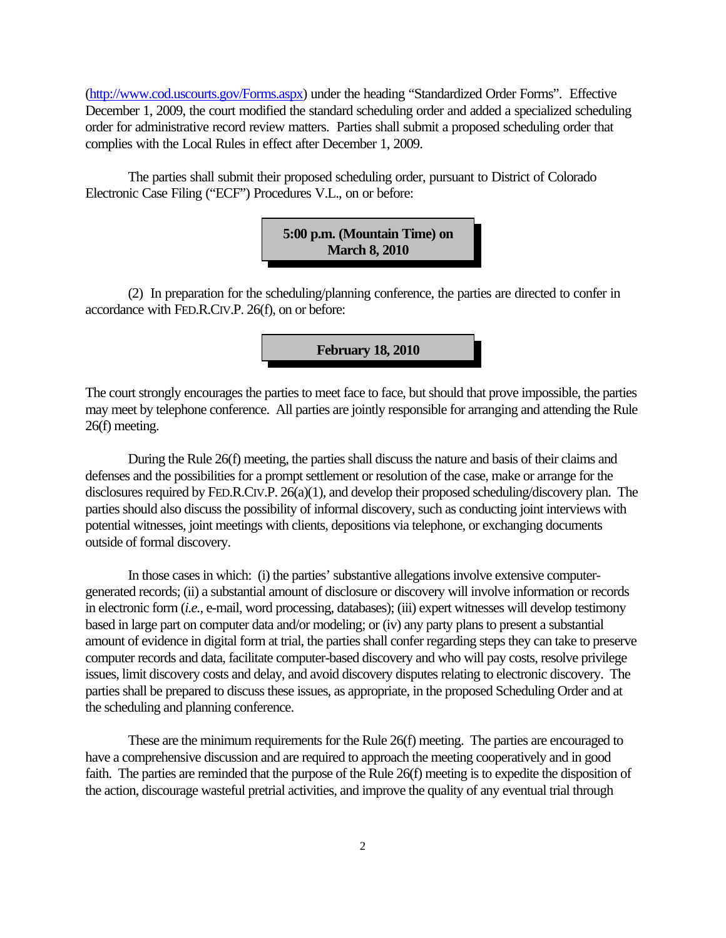(http://www.cod.uscourts.gov/Forms.aspx) under the heading "Standardized Order Forms". Effective December 1, 2009, the court modified the standard scheduling order and added a specialized scheduling order for administrative record review matters. Parties shall submit a proposed scheduling order that complies with the Local Rules in effect after December 1, 2009.

The parties shall submit their proposed scheduling order, pursuant to District of Colorado Electronic Case Filing ("ECF") Procedures V.L., on or before:



(2) In preparation for the scheduling/planning conference, the parties are directed to confer in accordance with FED.R.CIV.P. 26(f), on or before:

**February 18, 2010**

The court strongly encourages the parties to meet face to face, but should that prove impossible, the parties may meet by telephone conference. All parties are jointly responsible for arranging and attending the Rule 26(f) meeting.

During the Rule 26(f) meeting, the parties shall discuss the nature and basis of their claims and defenses and the possibilities for a prompt settlement or resolution of the case, make or arrange for the disclosures required by FED.R.CIV.P. 26(a)(1), and develop their proposed scheduling/discovery plan. The parties should also discuss the possibility of informal discovery, such as conducting joint interviews with potential witnesses, joint meetings with clients, depositions via telephone, or exchanging documents outside of formal discovery.

In those cases in which: (i) the parties' substantive allegations involve extensive computergenerated records; (ii) a substantial amount of disclosure or discovery will involve information or records in electronic form (*i.e.,* e-mail, word processing, databases); (iii) expert witnesses will develop testimony based in large part on computer data and/or modeling; or (iv) any party plans to present a substantial amount of evidence in digital form at trial, the parties shall confer regarding steps they can take to preserve computer records and data, facilitate computer-based discovery and who will pay costs, resolve privilege issues, limit discovery costs and delay, and avoid discovery disputes relating to electronic discovery. The parties shall be prepared to discuss these issues, as appropriate, in the proposed Scheduling Order and at the scheduling and planning conference.

These are the minimum requirements for the Rule 26(f) meeting. The parties are encouraged to have a comprehensive discussion and are required to approach the meeting cooperatively and in good faith. The parties are reminded that the purpose of the Rule 26(f) meeting is to expedite the disposition of the action, discourage wasteful pretrial activities, and improve the quality of any eventual trial through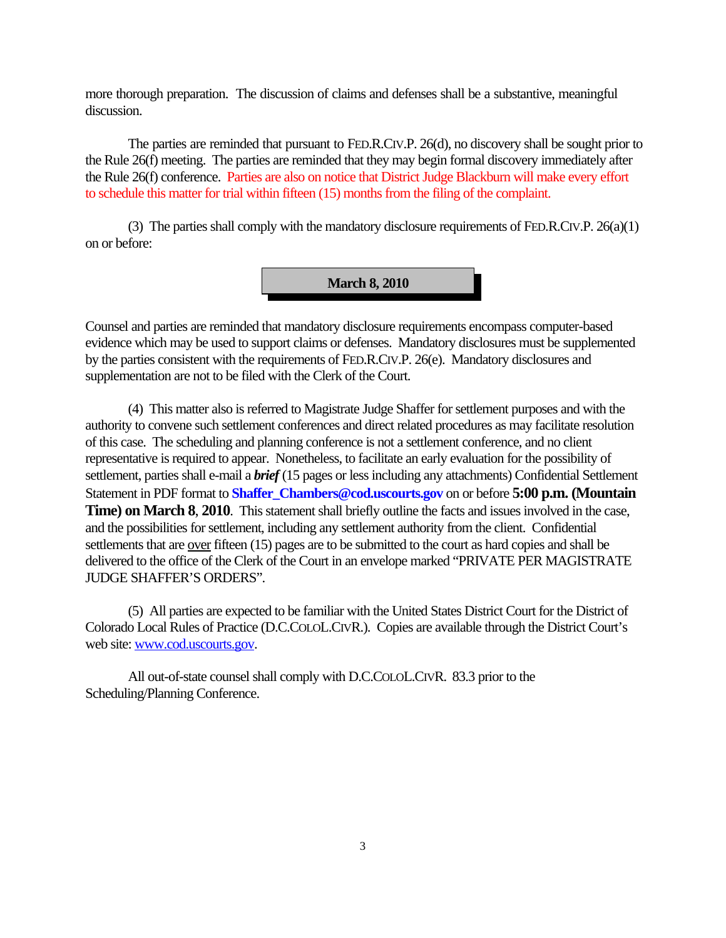more thorough preparation. The discussion of claims and defenses shall be a substantive, meaningful discussion.

The parties are reminded that pursuant to FED.R.CIV.P. 26(d), no discovery shall be sought prior to the Rule 26(f) meeting. The parties are reminded that they may begin formal discovery immediately after the Rule 26(f) conference. Parties are also on notice that District Judge Blackburn will make every effort to schedule this matter for trial within fifteen (15) months from the filing of the complaint.

(3) The parties shall comply with the mandatory disclosure requirements of FED.R.CIV.P. 26(a)(1) on or before:

**March 8, 2010**

Counsel and parties are reminded that mandatory disclosure requirements encompass computer-based evidence which may be used to support claims or defenses. Mandatory disclosures must be supplemented by the parties consistent with the requirements of FED.R.CIV.P. 26(e). Mandatory disclosures and supplementation are not to be filed with the Clerk of the Court.

(4) This matter also is referred to Magistrate Judge Shaffer for settlement purposes and with the authority to convene such settlement conferences and direct related procedures as may facilitate resolution of this case. The scheduling and planning conference is not a settlement conference, and no client representative is required to appear. Nonetheless, to facilitate an early evaluation for the possibility of settlement, parties shall e-mail a *brief* (15 pages or less including any attachments) Confidential Settlement Statement in PDF format to **Shaffer** Chambers@cod.uscourts.gov on or before **5:00 p.m. (Mountain Time) on March 8**, **2010**. This statement shall briefly outline the facts and issues involved in the case, and the possibilities for settlement, including any settlement authority from the client. Confidential settlements that are <u>over</u> fifteen (15) pages are to be submitted to the court as hard copies and shall be delivered to the office of the Clerk of the Court in an envelope marked "PRIVATE PER MAGISTRATE JUDGE SHAFFER'S ORDERS".

(5) All parties are expected to be familiar with the United States District Court for the District of Colorado Local Rules of Practice (D.C.COLOL.CIVR.). Copies are available through the District Court's web site: www.cod.uscourts.gov.

All out-of-state counsel shall comply with D.C.COLOL.CIVR. 83.3 prior to the Scheduling/Planning Conference.